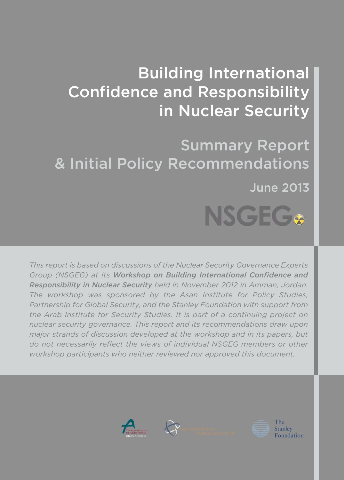# Building International Confidence and Responsibility in Nuclear Security

Summary Report & Initial Policy Recommendations June 2013NSGEG&

*This report is based on discussions of the Nuclear Security Governance Experts Group (NSGEG) at its Workshop on Building International Confidence and Responsibility in Nuclear Security held in November 2012 in Amman, Jordan. The workshop was sponsored by the Asan Institute for Policy Studies, Partnership for Global Security, and the Stanley Foundation with support from the Arab Institute for Security Studies. It is part of a continuing project on nuclear security governance. This report and its recommendations draw upon major strands of discussion developed at the workshop and in its papers, but do not necessarily reflect the views of individual NSGEG members or other workshop participants who neither reviewed nor approved this document.* 



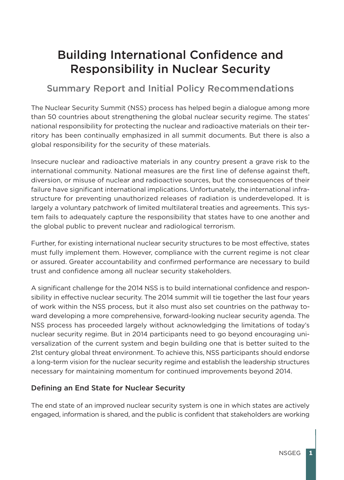# Building International Confidence and Responsibility in Nuclear Security

# Summary Report and Initial Policy Recommendations

The Nuclear Security Summit (NSS) process has helped begin a dialogue among more than 50 countries about strengthening the global nuclear security regime. The states' national responsibility for protecting the nuclear and radioactive materials on their territory has been continually emphasized in all summit documents. But there is also a global responsibility for the security of these materials.

Insecure nuclear and radioactive materials in any country present a grave risk to the international community. National measures are the first line of defense against theft, diversion, or misuse of nuclear and radioactive sources, but the consequences of their failure have significant international implications. Unfortunately, the international infrastructure for preventing unauthorized releases of radiation is underdeveloped. It is largely a voluntary patchwork of limited multilateral treaties and agreements. This system fails to adequately capture the responsibility that states have to one another and the global public to prevent nuclear and radiological terrorism.

Further, for existing international nuclear security structures to be most effective, states must fully implement them. However, compliance with the current regime is not clear or assured. Greater accountability and confirmed performance are necessary to build trust and confidence among all nuclear security stakeholders.

A significant challenge for the 2014 NSS is to build international confidence and responsibility in effective nuclear security. The 2014 summit will tie together the last four years of work within the NSS process, but it also must also set countries on the pathway toward developing a more comprehensive, forward-looking nuclear security agenda. The NSS process has proceeded largely without acknowledging the limitations of today's nuclear security regime. But in 2014 participants need to go beyond encouraging universalization of the current system and begin building one that is better suited to the 21st century global threat environment. To achieve this, NSS participants should endorse a long-term vision for the nuclear security regime and establish the leadership structures necessary for maintaining momentum for continued improvements beyond 2014.

## Defining an End State for Nuclear Security

The end state of an improved nuclear security system is one in which states are actively engaged, information is shared, and the public is confident that stakeholders are working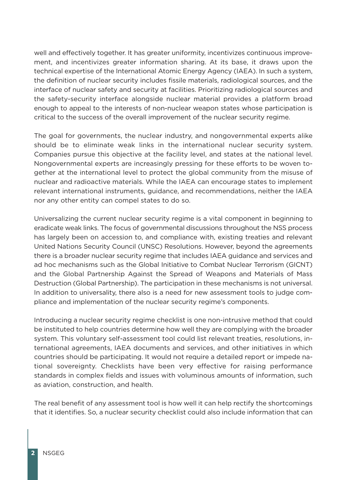well and effectively together. It has greater uniformity, incentivizes continuous improvement, and incentivizes greater information sharing. At its base, it draws upon the technical expertise of the International Atomic Energy Agency (IAEA). In such a system, the definition of nuclear security includes fissile materials, radiological sources, and the interface of nuclear safety and security at facilities. Prioritizing radiological sources and the safety-security interface alongside nuclear material provides a platform broad enough to appeal to the interests of non-nuclear weapon states whose participation is critical to the success of the overall improvement of the nuclear security regime.

The goal for governments, the nuclear industry, and nongovernmental experts alike should be to eliminate weak links in the international nuclear security system. Companies pursue this objective at the facility level, and states at the national level. Nongovernmental experts are increasingly pressing for these efforts to be woven together at the international level to protect the global community from the misuse of nuclear and radioactive materials. While the IAEA can encourage states to implement relevant international instruments, guidance, and recommendations, neither the IAEA nor any other entity can compel states to do so.

Universalizing the current nuclear security regime is a vital component in beginning to eradicate weak links. The focus of governmental discussions throughout the NSS process has largely been on accession to, and compliance with, existing treaties and relevant United Nations Security Council (UNSC) Resolutions. However, beyond the agreements there is a broader nuclear security regime that includes IAEA guidance and services and ad hoc mechanisms such as the Global Initiative to Combat Nuclear Terrorism (GICNT) and the Global Partnership Against the Spread of Weapons and Materials of Mass Destruction (Global Partnership). The participation in these mechanisms is not universal. In addition to universality, there also is a need for new assessment tools to judge compliance and implementation of the nuclear security regime's components.

Introducing a nuclear security regime checklist is one non-intrusive method that could be instituted to help countries determine how well they are complying with the broader system. This voluntary self-assessment tool could list relevant treaties, resolutions, international agreements, IAEA documents and services, and other initiatives in which countries should be participating. It would not require a detailed report or impede national sovereignty. Checklists have been very effective for raising performance standards in complex fields and issues with voluminous amounts of information, such as aviation, construction, and health.

The real benefit of any assessment tool is how well it can help rectify the shortcomings that it identifies. So, a nuclear security checklist could also include information that can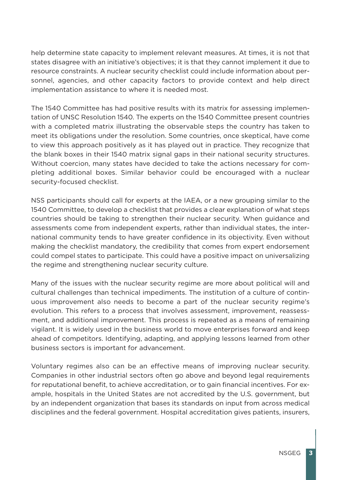help determine state capacity to implement relevant measures. At times, it is not that states disagree with an initiative's objectives; it is that they cannot implement it due to resource constraints. A nuclear security checklist could include information about personnel, agencies, and other capacity factors to provide context and help direct implementation assistance to where it is needed most.

The 1540 Committee has had positive results with its matrix for assessing implementation of UNSC Resolution 1540. The experts on the 1540 Committee present countries with a completed matrix illustrating the observable steps the country has taken to meet its obligations under the resolution. Some countries, once skeptical, have come to view this approach positively as it has played out in practice. They recognize that the blank boxes in their 1540 matrix signal gaps in their national security structures. Without coercion, many states have decided to take the actions necessary for completing additional boxes. Similar behavior could be encouraged with a nuclear security-focused checklist.

NSS participants should call for experts at the IAEA, or a new grouping similar to the 1540 Committee, to develop a checklist that provides a clear explanation of what steps countries should be taking to strengthen their nuclear security. When guidance and assessments come from independent experts, rather than individual states, the international community tends to have greater confidence in its objectivity. Even without making the checklist mandatory, the credibility that comes from expert endorsement could compel states to participate. This could have a positive impact on universalizing the regime and strengthening nuclear security culture.

Many of the issues with the nuclear security regime are more about political will and cultural challenges than technical impediments. The institution of a culture of continuous improvement also needs to become a part of the nuclear security regime's evolution. This refers to a process that involves assessment, improvement, reassessment, and additional improvement. This process is repeated as a means of remaining vigilant. It is widely used in the business world to move enterprises forward and keep ahead of competitors. Identifying, adapting, and applying lessons learned from other business sectors is important for advancement.

Voluntary regimes also can be an effective means of improving nuclear security. Companies in other industrial sectors often go above and beyond legal requirements for reputational benefit, to achieve accreditation, or to gain financial incentives. For example, hospitals in the United States are not accredited by the U.S. government, but by an independent organization that bases its standards on input from across medical disciplines and the federal government. Hospital accreditation gives patients, insurers,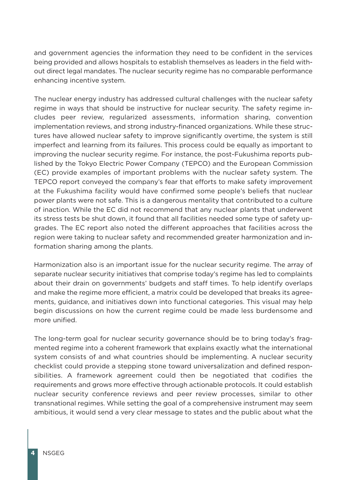and government agencies the information they need to be confident in the services being provided and allows hospitals to establish themselves as leaders in the field without direct legal mandates. The nuclear security regime has no comparable performance enhancing incentive system.

The nuclear energy industry has addressed cultural challenges with the nuclear safety regime in ways that should be instructive for nuclear security. The safety regime includes peer review, regularized assessments, information sharing, convention implementation reviews, and strong industry-financed organizations. While these structures have allowed nuclear safety to improve significantly overtime, the system is still imperfect and learning from its failures. This process could be equally as important to improving the nuclear security regime. For instance, the post-Fukushima reports published by the Tokyo Electric Power Company (TEPCO) and the European Commission (EC) provide examples of important problems with the nuclear safety system. The TEPCO report conveyed the company's fear that efforts to make safety improvement at the Fukushima facility would have confirmed some people's beliefs that nuclear power plants were not safe. This is a dangerous mentality that contributed to a culture of inaction. While the EC did not recommend that any nuclear plants that underwent its stress tests be shut down, it found that all facilities needed some type of safety upgrades. The EC report also noted the different approaches that facilities across the region were taking to nuclear safety and recommended greater harmonization and information sharing among the plants.

Harmonization also is an important issue for the nuclear security regime. The array of separate nuclear security initiatives that comprise today's regime has led to complaints about their drain on governments' budgets and staff times. To help identify overlaps and make the regime more efficient, a matrix could be developed that breaks its agreements, guidance, and initiatives down into functional categories. This visual may help begin discussions on how the current regime could be made less burdensome and more unified.

The long-term goal for nuclear security governance should be to bring today's fragmented regime into a coherent framework that explains exactly what the international system consists of and what countries should be implementing. A nuclear security checklist could provide a stepping stone toward universalization and defined responsibilities. A framework agreement could then be negotiated that codifies the requirements and grows more effective through actionable protocols. It could establish nuclear security conference reviews and peer review processes, similar to other transnational regimes. While setting the goal of a comprehensive instrument may seem ambitious, it would send a very clear message to states and the public about what the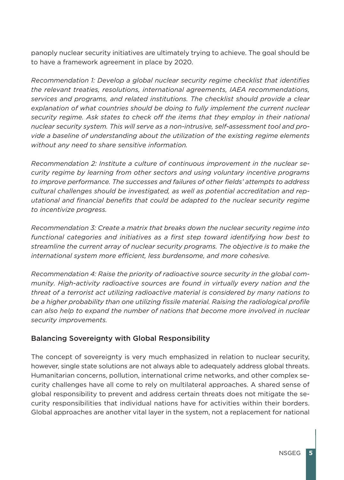panoply nuclear security initiatives are ultimately trying to achieve. The goal should be to have a framework agreement in place by 2020.

*Recommendation 1: Develop a global nuclear security regime checklist that identifies the relevant treaties, resolutions, international agreements, IAEA recommendations, services and programs, and related institutions. The checklist should provide a clear explanation of what countries should be doing to fully implement the current nuclear security regime. Ask states to check off the items that they employ in their national nuclear security system. This will serve as a non-intrusive, self-assessment tool and provide a baseline of understanding about the utilization of the existing regime elements without any need to share sensitive information.*

*Recommendation 2: Institute a culture of continuous improvement in the nuclear security regime by learning from other sectors and using voluntary incentive programs to improve performance. The successes and failures of other fields' attempts to address cultural challenges should be investigated, as well as potential accreditation and reputational and financial benefits that could be adapted to the nuclear security regime to incentivize progress.*

*Recommendation 3: Create a matrix that breaks down the nuclear security regime into functional categories and initiatives as a first step toward identifying how best to streamline the current array of nuclear security programs. The objective is to make the international system more efficient, less burdensome, and more cohesive.* 

*Recommendation 4: Raise the priority of radioactive source security in the global community. High-activity radioactive sources are found in virtually every nation and the threat of a terrorist act utilizing radioactive material is considered by many nations to be a higher probability than one utilizing fissile material. Raising the radiological profile can also help to expand the number of nations that become more involved in nuclear security improvements.*

#### Balancing Sovereignty with Global Responsibility

The concept of sovereignty is very much emphasized in relation to nuclear security, however, single state solutions are not always able to adequately address global threats. Humanitarian concerns, pollution, international crime networks, and other complex security challenges have all come to rely on multilateral approaches. A shared sense of global responsibility to prevent and address certain threats does not mitigate the security responsibilities that individual nations have for activities within their borders. Global approaches are another vital layer in the system, not a replacement for national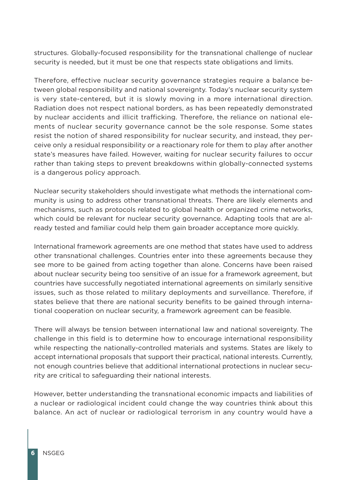structures. Globally-focused responsibility for the transnational challenge of nuclear security is needed, but it must be one that respects state obligations and limits.

Therefore, effective nuclear security governance strategies require a balance between global responsibility and national sovereignty. Today's nuclear security system is very state-centered, but it is slowly moving in a more international direction. Radiation does not respect national borders, as has been repeatedly demonstrated by nuclear accidents and illicit trafficking. Therefore, the reliance on national elements of nuclear security governance cannot be the sole response. Some states resist the notion of shared responsibility for nuclear security, and instead, they perceive only a residual responsibility or a reactionary role for them to play after another state's measures have failed. However, waiting for nuclear security failures to occur rather than taking steps to prevent breakdowns within globally-connected systems is a dangerous policy approach.

Nuclear security stakeholders should investigate what methods the international community is using to address other transnational threats. There are likely elements and mechanisms, such as protocols related to global health or organized crime networks, which could be relevant for nuclear security governance. Adapting tools that are already tested and familiar could help them gain broader acceptance more quickly.

International framework agreements are one method that states have used to address other transnational challenges. Countries enter into these agreements because they see more to be gained from acting together than alone. Concerns have been raised about nuclear security being too sensitive of an issue for a framework agreement, but countries have successfully negotiated international agreements on similarly sensitive issues, such as those related to military deployments and surveillance. Therefore, if states believe that there are national security benefits to be gained through international cooperation on nuclear security, a framework agreement can be feasible.

There will always be tension between international law and national sovereignty. The challenge in this field is to determine how to encourage international responsibility while respecting the nationally-controlled materials and systems. States are likely to accept international proposals that support their practical, national interests. Currently, not enough countries believe that additional international protections in nuclear security are critical to safeguarding their national interests.

However, better understanding the transnational economic impacts and liabilities of a nuclear or radiological incident could change the way countries think about this balance. An act of nuclear or radiological terrorism in any country would have a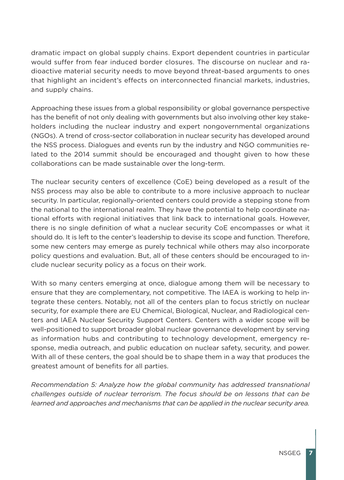dramatic impact on global supply chains. Export dependent countries in particular would suffer from fear induced border closures. The discourse on nuclear and radioactive material security needs to move beyond threat-based arguments to ones that highlight an incident's effects on interconnected financial markets, industries, and supply chains.

Approaching these issues from a global responsibility or global governance perspective has the benefit of not only dealing with governments but also involving other key stakeholders including the nuclear industry and expert nongovernmental organizations (NGOs). A trend of cross-sector collaboration in nuclear security has developed around the NSS process. Dialogues and events run by the industry and NGO communities related to the 2014 summit should be encouraged and thought given to how these collaborations can be made sustainable over the long-term.

The nuclear security centers of excellence (CoE) being developed as a result of the NSS process may also be able to contribute to a more inclusive approach to nuclear security. In particular, regionally-oriented centers could provide a stepping stone from the national to the international realm. They have the potential to help coordinate national efforts with regional initiatives that link back to international goals. However, there is no single definition of what a nuclear security CoE encompasses or what it should do. It is left to the center's leadership to devise its scope and function. Therefore, some new centers may emerge as purely technical while others may also incorporate policy questions and evaluation. But, all of these centers should be encouraged to include nuclear security policy as a focus on their work.

With so many centers emerging at once, dialogue among them will be necessary to ensure that they are complementary, not competitive. The IAEA is working to help integrate these centers. Notably, not all of the centers plan to focus strictly on nuclear security, for example there are EU Chemical, Biological, Nuclear, and Radiological centers and IAEA Nuclear Security Support Centers. Centers with a wider scope will be well-positioned to support broader global nuclear governance development by serving as information hubs and contributing to technology development, emergency response, media outreach, and public education on nuclear safety, security, and power. With all of these centers, the goal should be to shape them in a way that produces the greatest amount of benefits for all parties.

*Recommendation 5: Analyze how the global community has addressed transnational challenges outside of nuclear terrorism. The focus should be on lessons that can be learned and approaches and mechanisms that can be applied in the nuclear security area.*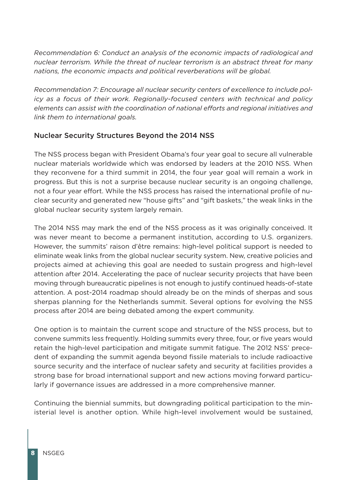*Recommendation 6: Conduct an analysis of the economic impacts of radiological and nuclear terrorism. While the threat of nuclear terrorism is an abstract threat for many nations, the economic impacts and political reverberations will be global.*

*Recommendation 7: Encourage all nuclear security centers of excellence to include policy as a focus of their work. Regionally-focused centers with technical and policy elements can assist with the coordination of national efforts and regional initiatives and link them to international goals.* 

#### Nuclear Security Structures Beyond the 2014 NSS

The NSS process began with President Obama's four year goal to secure all vulnerable nuclear materials worldwide which was endorsed by leaders at the 2010 NSS. When they reconvene for a third summit in 2014, the four year goal will remain a work in progress. But this is not a surprise because nuclear security is an ongoing challenge, not a four year effort. While the NSS process has raised the international profile of nuclear security and generated new "house gifts" and "gift baskets," the weak links in the global nuclear security system largely remain.

The 2014 NSS may mark the end of the NSS process as it was originally conceived. It was never meant to become a permanent institution, according to U.S. organizers. However, the summits' raison d'être remains: high-level political support is needed to eliminate weak links from the global nuclear security system. New, creative policies and projects aimed at achieving this goal are needed to sustain progress and high-level attention after 2014. Accelerating the pace of nuclear security projects that have been moving through bureaucratic pipelines is not enough to justify continued heads-of-state attention. A post-2014 roadmap should already be on the minds of sherpas and sous sherpas planning for the Netherlands summit. Several options for evolving the NSS process after 2014 are being debated among the expert community.

One option is to maintain the current scope and structure of the NSS process, but to convene summits less frequently. Holding summits every three, four, or five years would retain the high-level participation and mitigate summit fatigue. The 2012 NSS' precedent of expanding the summit agenda beyond fissile materials to include radioactive source security and the interface of nuclear safety and security at facilities provides a strong base for broad international support and new actions moving forward particularly if governance issues are addressed in a more comprehensive manner.

Continuing the biennial summits, but downgrading political participation to the ministerial level is another option. While high-level involvement would be sustained,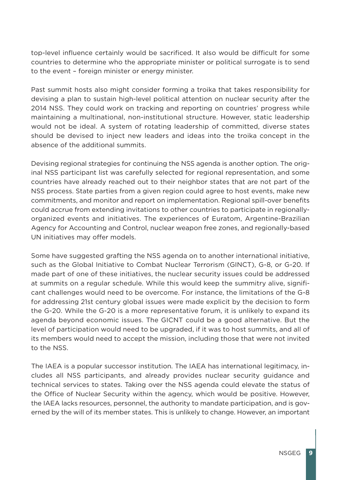top-level influence certainly would be sacrificed. It also would be difficult for some countries to determine who the appropriate minister or political surrogate is to send to the event – foreign minister or energy minister.

Past summit hosts also might consider forming a troika that takes responsibility for devising a plan to sustain high-level political attention on nuclear security after the 2014 NSS. They could work on tracking and reporting on countries' progress while maintaining a multinational, non-institutional structure. However, static leadership would not be ideal. A system of rotating leadership of committed, diverse states should be devised to inject new leaders and ideas into the troika concept in the absence of the additional summits.

Devising regional strategies for continuing the NSS agenda is another option. The original NSS participant list was carefully selected for regional representation, and some countries have already reached out to their neighbor states that are not part of the NSS process. State parties from a given region could agree to host events, make new commitments, and monitor and report on implementation. Regional spill-over benefits could accrue from extending invitations to other countries to participate in regionallyorganized events and initiatives. The experiences of Euratom, Argentine-Brazilian Agency for Accounting and Control, nuclear weapon free zones, and regionally-based UN initiatives may offer models.

Some have suggested grafting the NSS agenda on to another international initiative, such as the Global Initiative to Combat Nuclear Terrorism (GINCT), G-8, or G-20. If made part of one of these initiatives, the nuclear security issues could be addressed at summits on a regular schedule. While this would keep the summitry alive, significant challenges would need to be overcome. For instance, the limitations of the G-8 for addressing 21st century global issues were made explicit by the decision to form the G-20. While the G-20 is a more representative forum, it is unlikely to expand its agenda beyond economic issues. The GICNT could be a good alternative. But the level of participation would need to be upgraded, if it was to host summits, and all of its members would need to accept the mission, including those that were not invited to the NSS.

The IAEA is a popular successor institution. The IAEA has international legitimacy, includes all NSS participants, and already provides nuclear security guidance and technical services to states. Taking over the NSS agenda could elevate the status of the Office of Nuclear Security within the agency, which would be positive. However, the IAEA lacks resources, personnel, the authority to mandate participation, and is governed by the will of its member states. This is unlikely to change. However, an important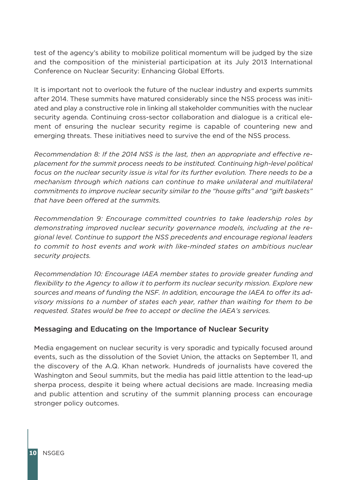test of the agency's ability to mobilize political momentum will be judged by the size and the composition of the ministerial participation at its July 2013 International Conference on Nuclear Security: Enhancing Global Efforts.

It is important not to overlook the future of the nuclear industry and experts summits after 2014. These summits have matured considerably since the NSS process was initiated and play a constructive role in linking all stakeholder communities with the nuclear security agenda. Continuing cross-sector collaboration and dialogue is a critical element of ensuring the nuclear security regime is capable of countering new and emerging threats. These initiatives need to survive the end of the NSS process.

*Recommendation 8: If the 2014 NSS is the last, then an appropriate and effective replacement for the summit process needs to be instituted. Continuing high-level political focus on the nuclear security issue is vital for its further evolution. There needs to be a mechanism through which nations can continue to make unilateral and multilateral commitments to improve nuclear security similar to the "house gifts" and "gift baskets" that have been offered at the summits.*

*Recommendation 9: Encourage committed countries to take leadership roles by demonstrating improved nuclear security governance models, including at the regional level. Continue to support the NSS precedents and encourage regional leaders to commit to host events and work with like-minded states on ambitious nuclear security projects.*

*Recommendation 10: Encourage IAEA member states to provide greater funding and flexibility to the Agency to allow it to perform its nuclear security mission. Explore new sources and means of funding the NSF. In addition, encourage the IAEA to offer its advisory missions to a number of states each year, rather than waiting for them to be requested. States would be free to accept or decline the IAEA's services.*

#### Messaging and Educating on the Importance of Nuclear Security

Media engagement on nuclear security is very sporadic and typically focused around events, such as the dissolution of the Soviet Union, the attacks on September 11, and the discovery of the A.Q. Khan network. Hundreds of journalists have covered the Washington and Seoul summits, but the media has paid little attention to the lead-up sherpa process, despite it being where actual decisions are made. Increasing media and public attention and scrutiny of the summit planning process can encourage stronger policy outcomes.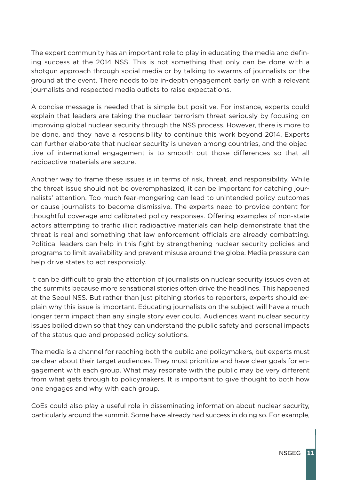The expert community has an important role to play in educating the media and defining success at the 2014 NSS. This is not something that only can be done with a shotgun approach through social media or by talking to swarms of journalists on the ground at the event. There needs to be in-depth engagement early on with a relevant journalists and respected media outlets to raise expectations.

A concise message is needed that is simple but positive. For instance, experts could explain that leaders are taking the nuclear terrorism threat seriously by focusing on improving global nuclear security through the NSS process. However, there is more to be done, and they have a responsibility to continue this work beyond 2014. Experts can further elaborate that nuclear security is uneven among countries, and the objective of international engagement is to smooth out those differences so that all radioactive materials are secure.

Another way to frame these issues is in terms of risk, threat, and responsibility. While the threat issue should not be overemphasized, it can be important for catching journalists' attention. Too much fear-mongering can lead to unintended policy outcomes or cause journalists to become dismissive. The experts need to provide content for thoughtful coverage and calibrated policy responses. Offering examples of non-state actors attempting to traffic illicit radioactive materials can help demonstrate that the threat is real and something that law enforcement officials are already combatting. Political leaders can help in this fight by strengthening nuclear security policies and programs to limit availability and prevent misuse around the globe. Media pressure can help drive states to act responsibly.

It can be difficult to grab the attention of journalists on nuclear security issues even at the summits because more sensational stories often drive the headlines. This happened at the Seoul NSS. But rather than just pitching stories to reporters, experts should explain why this issue is important. Educating journalists on the subject will have a much longer term impact than any single story ever could. Audiences want nuclear security issues boiled down so that they can understand the public safety and personal impacts of the status quo and proposed policy solutions.

The media is a channel for reaching both the public and policymakers, but experts must be clear about their target audiences. They must prioritize and have clear goals for engagement with each group. What may resonate with the public may be very different from what gets through to policymakers. It is important to give thought to both how one engages and why with each group.

CoEs could also play a useful role in disseminating information about nuclear security, particularly around the summit. Some have already had success in doing so. For example,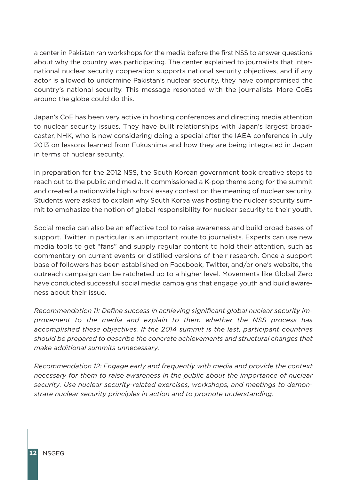a center in Pakistan ran workshops for the media before the first NSS to answer questions about why the country was participating. The center explained to journalists that international nuclear security cooperation supports national security objectives, and if any actor is allowed to undermine Pakistan's nuclear security, they have compromised the country's national security. This message resonated with the journalists. More CoEs around the globe could do this.

Japan's CoE has been very active in hosting conferences and directing media attention to nuclear security issues. They have built relationships with Japan's largest broadcaster, NHK, who is now considering doing a special after the IAEA conference in July 2013 on lessons learned from Fukushima and how they are being integrated in Japan in terms of nuclear security.

In preparation for the 2012 NSS, the South Korean government took creative steps to reach out to the public and media. It commissioned a K-pop theme song for the summit and created a nationwide high school essay contest on the meaning of nuclear security. Students were asked to explain why South Korea was hosting the nuclear security summit to emphasize the notion of global responsibility for nuclear security to their youth.

Social media can also be an effective tool to raise awareness and build broad bases of support. Twitter in particular is an important route to journalists. Experts can use new media tools to get "fans" and supply regular content to hold their attention, such as commentary on current events or distilled versions of their research. Once a support base of followers has been established on Facebook, Twitter, and/or one's website, the outreach campaign can be ratcheted up to a higher level. Movements like Global Zero have conducted successful social media campaigns that engage youth and build awareness about their issue.

*Recommendation 11: Define success in achieving significant global nuclear security improvement to the media and explain to them whether the NSS process has accomplished these objectives. If the 2014 summit is the last, participant countries should be prepared to describe the concrete achievements and structural changes that make additional summits unnecessary.*

*Recommendation 12: Engage early and frequently with media and provide the context necessary for them to raise awareness in the public about the importance of nuclear security. Use nuclear security-related exercises, workshops, and meetings to demonstrate nuclear security principles in action and to promote understanding.*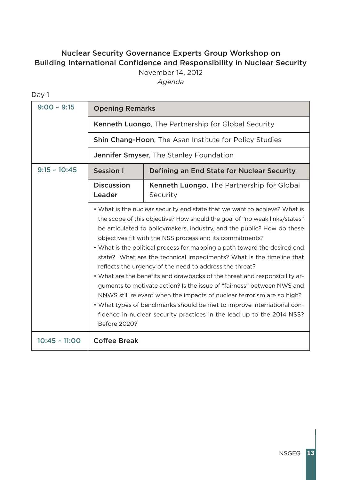# Nuclear Security Governance Experts Group Workshop on Building International Confidence and Responsibility in Nuclear Security

November 14, 2012

*Agenda*

| ٧         |  |
|-----------|--|
| M.<br>. . |  |

| $9:00 - 9:15$   | <b>Opening Remarks</b><br>Kenneth Luongo, The Partnership for Global Security                                                                                                                                                                                                                                                                                                                                                                                                                                                                                                                                                                                                                                                                                                                                                                                                                                      |                                                        |  |  |
|-----------------|--------------------------------------------------------------------------------------------------------------------------------------------------------------------------------------------------------------------------------------------------------------------------------------------------------------------------------------------------------------------------------------------------------------------------------------------------------------------------------------------------------------------------------------------------------------------------------------------------------------------------------------------------------------------------------------------------------------------------------------------------------------------------------------------------------------------------------------------------------------------------------------------------------------------|--------------------------------------------------------|--|--|
|                 |                                                                                                                                                                                                                                                                                                                                                                                                                                                                                                                                                                                                                                                                                                                                                                                                                                                                                                                    |                                                        |  |  |
|                 | Shin Chang-Hoon, The Asan Institute for Policy Studies                                                                                                                                                                                                                                                                                                                                                                                                                                                                                                                                                                                                                                                                                                                                                                                                                                                             |                                                        |  |  |
|                 |                                                                                                                                                                                                                                                                                                                                                                                                                                                                                                                                                                                                                                                                                                                                                                                                                                                                                                                    | Jennifer Smyser, The Stanley Foundation                |  |  |
| $9:15 - 10:45$  | <b>Session I</b>                                                                                                                                                                                                                                                                                                                                                                                                                                                                                                                                                                                                                                                                                                                                                                                                                                                                                                   | Defining an End State for Nuclear Security             |  |  |
|                 | <b>Discussion</b><br>Leader                                                                                                                                                                                                                                                                                                                                                                                                                                                                                                                                                                                                                                                                                                                                                                                                                                                                                        | Kenneth Luongo, The Partnership for Global<br>Security |  |  |
|                 | . What is the nuclear security end state that we want to achieve? What is<br>the scope of this objective? How should the goal of "no weak links/states"<br>be articulated to policymakers, industry, and the public? How do these<br>objectives fit with the NSS process and its commitments?<br>• What is the political process for mapping a path toward the desired end<br>state? What are the technical impediments? What is the timeline that<br>reflects the urgency of the need to address the threat?<br>• What are the benefits and drawbacks of the threat and responsibility ar-<br>guments to motivate action? Is the issue of "fairness" between NWS and<br>NNWS still relevant when the impacts of nuclear terrorism are so high?<br>• What types of benchmarks should be met to improve international con-<br>fidence in nuclear security practices in the lead up to the 2014 NSS?<br>Before 2020? |                                                        |  |  |
| $10:45 - 11:00$ | <b>Coffee Break</b>                                                                                                                                                                                                                                                                                                                                                                                                                                                                                                                                                                                                                                                                                                                                                                                                                                                                                                |                                                        |  |  |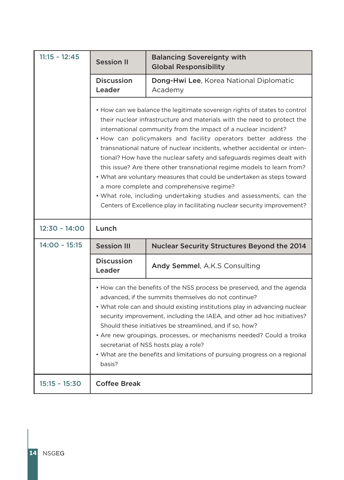| $11:15 - 12:45$ | <b>Session II</b>                                                                                                                                                                                                                                                                                                                                                                                                                                                                                                                                                                                                                                                                                                                                                                                  | <b>Balancing Sovereignty with</b><br><b>Global Responsibility</b> |  |
|-----------------|----------------------------------------------------------------------------------------------------------------------------------------------------------------------------------------------------------------------------------------------------------------------------------------------------------------------------------------------------------------------------------------------------------------------------------------------------------------------------------------------------------------------------------------------------------------------------------------------------------------------------------------------------------------------------------------------------------------------------------------------------------------------------------------------------|-------------------------------------------------------------------|--|
|                 | <b>Discussion</b><br>Leader                                                                                                                                                                                                                                                                                                                                                                                                                                                                                                                                                                                                                                                                                                                                                                        | Dong-Hwi Lee, Korea National Diplomatic<br>Academy                |  |
|                 | • How can we balance the legitimate sovereign rights of states to control<br>their nuclear infrastructure and materials with the need to protect the<br>international community from the impact of a nuclear incident?<br>. How can policymakers and facility operators better address the<br>transnational nature of nuclear incidents, whether accidental or inten-<br>tional? How have the nuclear safety and safeguards regimes dealt with<br>this issue? Are there other transnational regime models to learn from?<br>• What are voluntary measures that could be undertaken as steps toward<br>a more complete and comprehensive regime?<br>• What role, including undertaking studies and assessments, can the<br>Centers of Excellence play in facilitating nuclear security improvement? |                                                                   |  |
| 12:30 ~ 14:00   | Lunch                                                                                                                                                                                                                                                                                                                                                                                                                                                                                                                                                                                                                                                                                                                                                                                              |                                                                   |  |
| $14:00 - 15:15$ | <b>Session III</b>                                                                                                                                                                                                                                                                                                                                                                                                                                                                                                                                                                                                                                                                                                                                                                                 | <b>Nuclear Security Structures Beyond the 2014</b>                |  |
|                 | <b>Discussion</b><br>Leader                                                                                                                                                                                                                                                                                                                                                                                                                                                                                                                                                                                                                                                                                                                                                                        | Andy Semmel, A.K.S Consulting                                     |  |
|                 | • How can the benefits of the NSS process be preserved, and the agenda<br>advanced, if the summits themselves do not continue?<br>• What role can and should existing institutions play in advancing nuclear<br>security improvement, including the IAEA, and other ad hoc initiatives?<br>Should these initiatives be streamlined, and if so, how?<br>• Are new groupings, processes, or mechanisms needed? Could a troika<br>secretariat of NSS hosts play a role?<br>• What are the benefits and limitations of pursuing progress on a regional<br>basis?                                                                                                                                                                                                                                       |                                                                   |  |
|                 |                                                                                                                                                                                                                                                                                                                                                                                                                                                                                                                                                                                                                                                                                                                                                                                                    |                                                                   |  |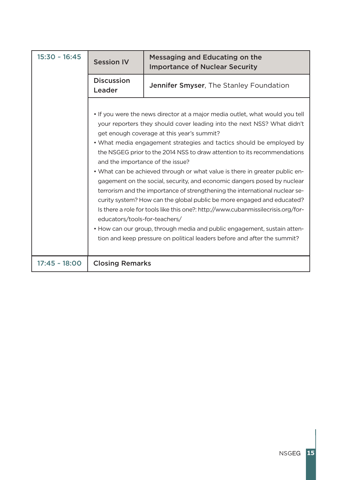| $15:30 - 16:45$ | <b>Session IV</b>                                                 | Messaging and Educating on the<br><b>Importance of Nuclear Security</b>                                                                                                                                                                                                                                                                                                                                                                                                                                                                                                                                                                                                                                                                                                                                                                                                                                                  |
|-----------------|-------------------------------------------------------------------|--------------------------------------------------------------------------------------------------------------------------------------------------------------------------------------------------------------------------------------------------------------------------------------------------------------------------------------------------------------------------------------------------------------------------------------------------------------------------------------------------------------------------------------------------------------------------------------------------------------------------------------------------------------------------------------------------------------------------------------------------------------------------------------------------------------------------------------------------------------------------------------------------------------------------|
|                 | <b>Discussion</b><br>Leader                                       | Jennifer Smyser, The Stanley Foundation                                                                                                                                                                                                                                                                                                                                                                                                                                                                                                                                                                                                                                                                                                                                                                                                                                                                                  |
|                 | and the importance of the issue?<br>educators/tools-for-teachers/ | • If you were the news director at a major media outlet, what would you tell<br>your reporters they should cover leading into the next NSS? What didn't<br>get enough coverage at this year's summit?<br>• What media engagement strategies and tactics should be employed by<br>the NSGEG prior to the 2014 NSS to draw attention to its recommendations<br>• What can be achieved through or what value is there in greater public en-<br>gagement on the social, security, and economic dangers posed by nuclear<br>terrorism and the importance of strengthening the international nuclear se-<br>curity system? How can the global public be more engaged and educated?<br>Is there a role for tools like this one?: http://www.cubanmissilecrisis.org/for-<br>• How can our group, through media and public engagement, sustain atten-<br>tion and keep pressure on political leaders before and after the summit? |
| $17:45 - 18:00$ | <b>Closing Remarks</b>                                            |                                                                                                                                                                                                                                                                                                                                                                                                                                                                                                                                                                                                                                                                                                                                                                                                                                                                                                                          |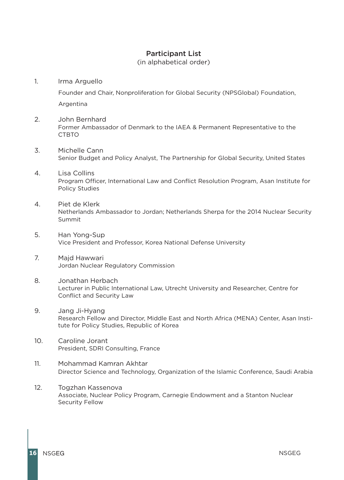#### Participant List

(in alphabetical order)

#### 1. Irma Arguello

Founder and Chair, Nonproliferation for Global Security (NPSGlobal) Foundation, Argentina

- 2. John Bernhard Former Ambassador of Denmark to the IAEA & Permanent Representative to the CTBTO
- 3. Michelle Cann Senior Budget and Policy Analyst, The Partnership for Global Security, United States
- 4. Lisa Collins Program Officer, International Law and Conflict Resolution Program, Asan Institute for Policy Studies
- 4. Piet de Klerk Netherlands Ambassador to Jordan; Netherlands Sherpa for the 2014 Nuclear Security Summit
- 5. Han Yong-Sup Vice President and Professor, Korea National Defense University
- 7. Majd Hawwari Jordan Nuclear Regulatory Commission
- 8. Jonathan Herbach Lecturer in Public International Law, Utrecht University and Researcher, Centre for Conflict and Security Law
- 9. Jang Ji-Hyang Research Fellow and Director, Middle East and North Africa (MENA) Center, Asan Institute for Policy Studies, Republic of Korea
- 10. Caroline Jorant President, SDRI Consulting, France
- 11. Mohammad Kamran Akhtar Director Science and Technology, Organization of the Islamic Conference, Saudi Arabia
- 12. Togzhan Kassenova Associate, Nuclear Policy Program, Carnegie Endowment and a Stanton Nuclear Security Fellow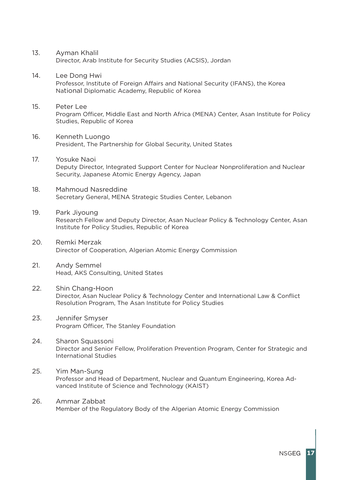- 13. Ayman Khalil Director, Arab Institute for Security Studies (ACSIS), Jordan
- 14. Lee Dong Hwi Professor, Institute of Foreign Affairs and National Security (IFANS), the Korea National Diplomatic Academy, Republic of Korea
- 15. Peter Lee Program Officer, Middle East and North Africa (MENA) Center, Asan Institute for Policy Studies, Republic of Korea
- 16. Kenneth Luongo President, The Partnership for Global Security, United States
- 17. Yosuke Naoi Deputy Director, Integrated Support Center for Nuclear Nonproliferation and Nuclear Security, Japanese Atomic Energy Agency, Japan
- 18. Mahmoud Nasreddine Secretary General, MENA Strategic Studies Center, Lebanon
- 19. Park Jiyoung Research Fellow and Deputy Director, Asan Nuclear Policy & Technology Center, Asan Institute for Policy Studies, Republic of Korea
- 20. Remki Merzak Director of Cooperation, Algerian Atomic Energy Commission
- 21. Andy Semmel Head, AKS Consulting, United States
- 22. Shin Chang-Hoon Director, Asan Nuclear Policy & Technology Center and International Law & Conflict Resolution Program, The Asan Institute for Policy Studies
- 23. Jennifer Smyser Program Officer, The Stanley Foundation
- 24. Sharon Squassoni Director and Senior Fellow, Proliferation Prevention Program, Center for Strategic and International Studies
- 25. Yim Man-Sung Professor and Head of Department, Nuclear and Quantum Engineering, Korea Advanced Institute of Science and Technology (KAIST)
- 26. Ammar Zabbat Member of the Regulatory Body of the Algerian Atomic Energy Commission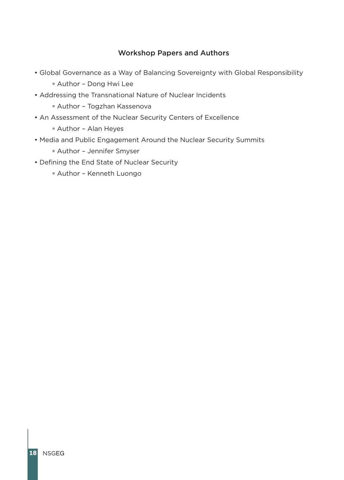### Workshop Papers and Authors

- Global Governance as a Way of Balancing Sovereignty with Global Responsibility
	- ° Author Dong Hwi Lee
- Addressing the Transnational Nature of Nuclear Incidents
	- ° Author Togzhan Kassenova
- An Assessment of the Nuclear Security Centers of Excellence
	- ° Author Alan Heyes
- Media and Public Engagement Around the Nuclear Security Summits
	- ° Author Jennifer Smyser
- Defining the End State of Nuclear Security
	- ° Author Kenneth Luongo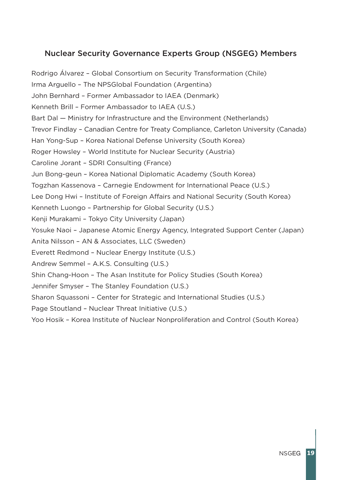# Nuclear Security Governance Experts Group (NSGEG) Members

Rodrigo Álvarez – Global Consortium on Security Transformation (Chile) Irma Arguello – The NPSGlobal Foundation (Argentina) John Bernhard – Former Ambassador to IAEA (Denmark) Kenneth Brill – Former Ambassador to IAEA (U.S.) Bart Dal — Ministry for Infrastructure and the Environment (Netherlands) Trevor Findlay – Canadian Centre for Treaty Compliance, Carleton University (Canada) Han Yong-Sup – Korea National Defense University (South Korea) Roger Howsley – World Institute for Nuclear Security (Austria) Caroline Jorant – SDRI Consulting (France) Jun Bong-geun – Korea National Diplomatic Academy (South Korea) Togzhan Kassenova – Carnegie Endowment for International Peace (U.S.) Lee Dong Hwi – Institute of Foreign Affairs and National Security (South Korea) Kenneth Luongo – Partnership for Global Security (U.S.) Kenji Murakami – Tokyo City University (Japan) Yosuke Naoi – Japanese Atomic Energy Agency, Integrated Support Center (Japan) Anita Nilsson – AN & Associates, LLC (Sweden) Everett Redmond – Nuclear Energy Institute (U.S.) Andrew Semmel – A.K.S. Consulting (U.S.) Shin Chang-Hoon – The Asan Institute for Policy Studies (South Korea) Jennifer Smyser – The Stanley Foundation (U.S.) Sharon Squassoni – Center for Strategic and International Studies (U.S.) Page Stoutland – Nuclear Threat Initiative (U.S.)

Yoo Hosik – Korea Institute of Nuclear Nonproliferation and Control (South Korea)